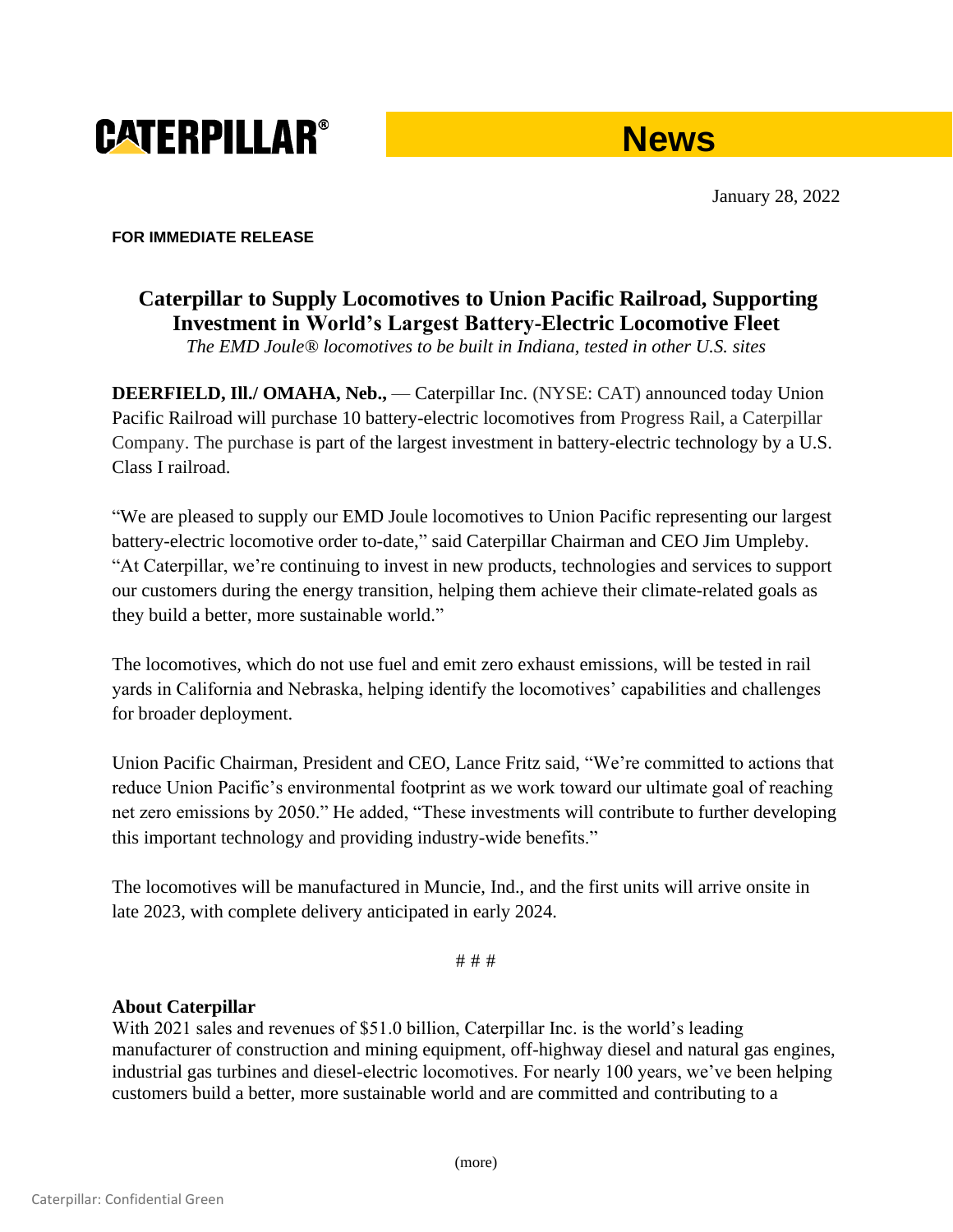# **CATERPILLAR®**



January 28, 2022

#### **FOR IMMEDIATE RELEASE**

## **Caterpillar to Supply Locomotives to Union Pacific Railroad, Supporting Investment in World's Largest Battery-Electric Locomotive Fleet**

*The EMD Joule® locomotives to be built in Indiana, tested in other U.S. sites*

**DEERFIELD, Ill./ OMAHA, Neb.,** — Caterpillar Inc. (NYSE: CAT) announced today Union Pacific Railroad will purchase 10 battery-electric locomotives from Progress Rail, a Caterpillar Company. The purchase is part of the largest investment in battery-electric technology by a U.S. Class I railroad.

"We are pleased to supply our EMD Joule locomotives to Union Pacific representing our largest battery-electric locomotive order to-date," said Caterpillar Chairman and CEO Jim Umpleby. "At Caterpillar, we're continuing to invest in new products, technologies and services to support our customers during the energy transition, helping them achieve their climate-related goals as they build a better, more sustainable world."

The locomotives, which do not use fuel and emit zero exhaust emissions, will be tested in rail yards in California and Nebraska, helping identify the locomotives' capabilities and challenges for broader deployment.

Union Pacific Chairman, President and CEO, Lance Fritz said, "We're committed to actions that reduce Union Pacific's environmental footprint as we work toward our ultimate goal of reaching net zero emissions by 2050." He added, "These investments will contribute to further developing this important technology and providing industry-wide benefits."

The locomotives will be manufactured in Muncie, Ind., and the first units will arrive onsite in late 2023, with complete delivery anticipated in early 2024.

# # #

### **About Caterpillar**

With 2021 sales and revenues of \$51.0 billion, Caterpillar Inc. is the world's leading manufacturer of construction and mining equipment, off-highway diesel and natural gas engines, industrial gas turbines and diesel-electric locomotives. For nearly 100 years, we've been helping customers build a better, more sustainable world and are committed and contributing to a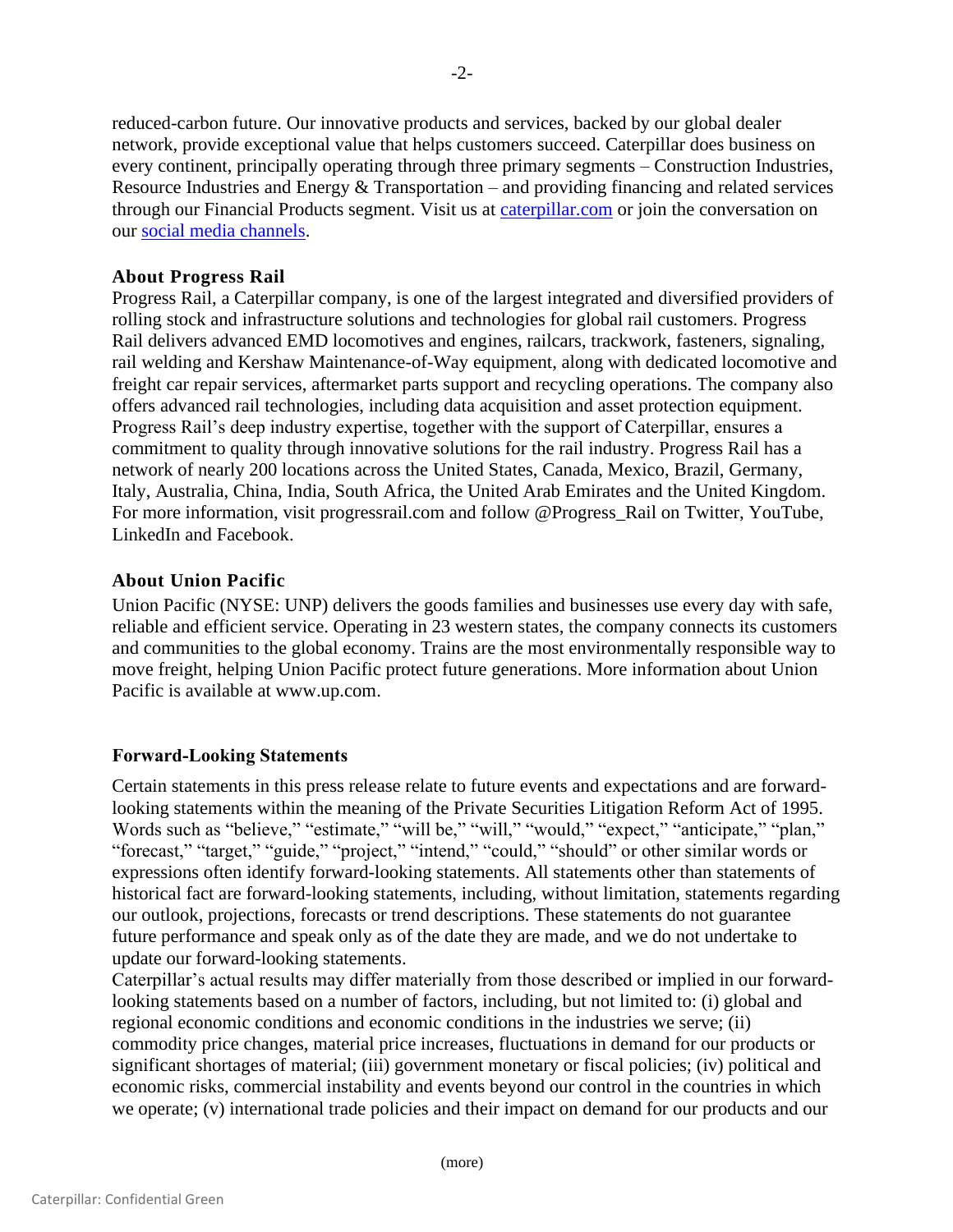reduced-carbon future. Our innovative products and services, backed by our global dealer network, provide exceptional value that helps customers succeed. Caterpillar does business on every continent, principally operating through three primary segments – Construction Industries, Resource Industries and Energy & Transportation – and providing financing and related services through our Financial Products segment. Visit us at caterpillar.com or join the conversation on our [social media channels.](https://www.caterpillar.com/en/news/social-media.html)

#### **About Progress Rail**

Progress Rail, a Caterpillar company, is one of the largest integrated and diversified providers of rolling stock and infrastructure solutions and technologies for global rail customers. Progress Rail delivers advanced EMD locomotives and engines, railcars, trackwork, fasteners, signaling, rail welding and Kershaw Maintenance-of-Way equipment, along with dedicated locomotive and freight car repair services, aftermarket parts support and recycling operations. The company also offers advanced rail technologies, including data acquisition and asset protection equipment. Progress Rail's deep industry expertise, together with the support of Caterpillar, ensures a commitment to quality through innovative solutions for the rail industry. Progress Rail has a network of nearly 200 locations across the United States, Canada, Mexico, Brazil, Germany, Italy, Australia, China, India, South Africa, the United Arab Emirates and the United Kingdom. For more information, visit progressrail.com and follow @Progress\_Rail on Twitter, YouTube, LinkedIn and Facebook.

#### **About Union Pacific**

Union Pacific (NYSE: UNP) delivers the goods families and businesses use every day with safe, reliable and efficient service. Operating in 23 western states, the company connects its customers and communities to the global economy. Trains are the most environmentally responsible way to move freight, helping Union Pacific protect future generations. More information about Union Pacific is available at [www.up.com.](applewebdata://3dca1f72-9086-4d04-936c-b80d6e209c9e/www.up.com)

#### **Forward-Looking Statements**

Certain statements in this press release relate to future events and expectations and are forwardlooking statements within the meaning of the Private Securities Litigation Reform Act of 1995. Words such as "believe," "estimate," "will be," "will," "would," "expect," "anticipate," "plan," "forecast," "target," "guide," "project," "intend," "could," "should" or other similar words or expressions often identify forward-looking statements. All statements other than statements of historical fact are forward-looking statements, including, without limitation, statements regarding our outlook, projections, forecasts or trend descriptions. These statements do not guarantee future performance and speak only as of the date they are made, and we do not undertake to update our forward-looking statements.

Caterpillar's actual results may differ materially from those described or implied in our forwardlooking statements based on a number of factors, including, but not limited to: (i) global and regional economic conditions and economic conditions in the industries we serve; (ii) commodity price changes, material price increases, fluctuations in demand for our products or significant shortages of material; (iii) government monetary or fiscal policies; (iv) political and economic risks, commercial instability and events beyond our control in the countries in which we operate; (v) international trade policies and their impact on demand for our products and our